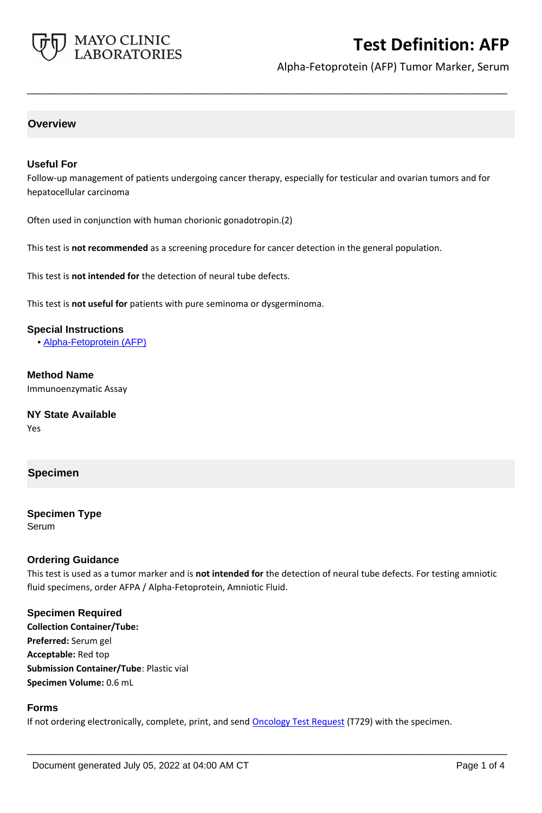

# **Test Definition: AFP**

Alpha-Fetoprotein (AFP) Tumor Marker, Serum

## **Overview**

#### **Useful For**

Follow-up management of patients undergoing cancer therapy, especially for testicular and ovarian tumors and for hepatocellular carcinoma

**\_\_\_\_\_\_\_\_\_\_\_\_\_\_\_\_\_\_\_\_\_\_\_\_\_\_\_\_\_\_\_\_\_\_\_\_\_\_\_\_\_\_\_\_\_\_\_\_\_\_\_**

Often used in conjunction with human chorionic gonadotropin.(2)

This test is **not recommended** as a screening procedure for cancer detection in the general population.

This test is **not intended for** the detection of neural tube defects.

This test is **not useful for** patients with pure seminoma or dysgerminoma.

#### **Special Instructions**

• [Alpha-Fetoprotein \(AFP\)](http://www.mayocliniclabs.com/it-mmfiles/Alpha-Fetoprotein__AFP_.pdf)

**Method Name** Immunoenzymatic Assay

**NY State Available** Yes

## **Specimen**

**Specimen Type** Serum

#### **Ordering Guidance**

This test is used as a tumor marker and is **not intended for** the detection of neural tube defects. For testing amniotic fluid specimens, order AFPA / Alpha-Fetoprotein, Amniotic Fluid.

#### **Specimen Required**

**Collection Container/Tube: Preferred:** Serum gel **Acceptable:** Red top **Submission Container/Tube**: Plastic vial **Specimen Volume:** 0.6 mL

#### **Forms**

If not ordering electronically, complete, print, and send **Oncology Test Request** (T729) with the specimen.

**\_\_\_\_\_\_\_\_\_\_\_\_\_\_\_\_\_\_\_\_\_\_\_\_\_\_\_\_\_\_\_\_\_\_\_\_\_\_\_\_\_\_\_\_\_\_\_\_\_\_\_**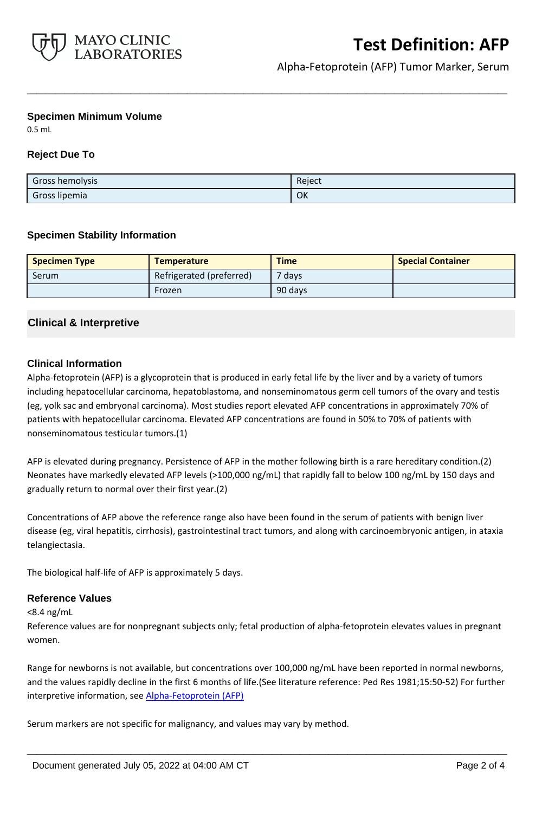

Alpha-Fetoprotein (AFP) Tumor Marker, Serum

#### **Specimen Minimum Volume**

0.5 mL

### **Reject Due To**

| Gross hemolysis | Reject |
|-----------------|--------|
| Gross lipemia   | OK     |

**\_\_\_\_\_\_\_\_\_\_\_\_\_\_\_\_\_\_\_\_\_\_\_\_\_\_\_\_\_\_\_\_\_\_\_\_\_\_\_\_\_\_\_\_\_\_\_\_\_\_\_**

#### **Specimen Stability Information**

| <b>Specimen Type</b> | <b>Temperature</b>       | <b>Time</b> | <b>Special Container</b> |
|----------------------|--------------------------|-------------|--------------------------|
| Serum                | Refrigerated (preferred) | $7$ days    |                          |
|                      | Frozen                   | 90 days     |                          |

## **Clinical & Interpretive**

#### **Clinical Information**

Alpha-fetoprotein (AFP) is a glycoprotein that is produced in early fetal life by the liver and by a variety of tumors including hepatocellular carcinoma, hepatoblastoma, and nonseminomatous germ cell tumors of the ovary and testis (eg, yolk sac and embryonal carcinoma). Most studies report elevated AFP concentrations in approximately 70% of patients with hepatocellular carcinoma. Elevated AFP concentrations are found in 50% to 70% of patients with nonseminomatous testicular tumors.(1)

AFP is elevated during pregnancy. Persistence of AFP in the mother following birth is a rare hereditary condition.(2) Neonates have markedly elevated AFP levels (>100,000 ng/mL) that rapidly fall to below 100 ng/mL by 150 days and gradually return to normal over their first year.(2)

Concentrations of AFP above the reference range also have been found in the serum of patients with benign liver disease (eg, viral hepatitis, cirrhosis), gastrointestinal tract tumors, and along with carcinoembryonic antigen, in ataxia telangiectasia.

The biological half-life of AFP is approximately 5 days.

#### **Reference Values**

<8.4 ng/mL

Reference values are for nonpregnant subjects only; fetal production of alpha-fetoprotein elevates values in pregnant women.

Range for newborns is not available, but concentrations over 100,000 ng/mL have been reported in normal newborns, and the values rapidly decline in the first 6 months of life.(See literature reference: Ped Res 1981;15:50-52) For further interpretive information, see [Alpha-Fetoprotein \(AFP\)](http://www.mayocliniclabs.com/it-mmfiles/Alpha-Fetoprotein__AFP_.pdf)

**\_\_\_\_\_\_\_\_\_\_\_\_\_\_\_\_\_\_\_\_\_\_\_\_\_\_\_\_\_\_\_\_\_\_\_\_\_\_\_\_\_\_\_\_\_\_\_\_\_\_\_**

Serum markers are not specific for malignancy, and values may vary by method.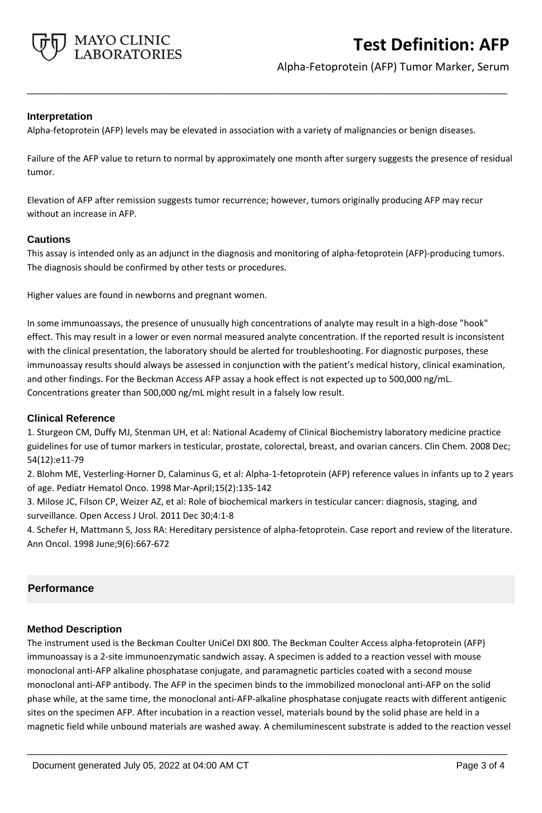

# **Test Definition: AFP**

Alpha-Fetoprotein (AFP) Tumor Marker, Serum

## **Interpretation**

Alpha-fetoprotein (AFP) levels may be elevated in association with a variety of malignancies or benign diseases.

Failure of the AFP value to return to normal by approximately one month after surgery suggests the presence of residual tumor.

**\_\_\_\_\_\_\_\_\_\_\_\_\_\_\_\_\_\_\_\_\_\_\_\_\_\_\_\_\_\_\_\_\_\_\_\_\_\_\_\_\_\_\_\_\_\_\_\_\_\_\_**

Elevation of AFP after remission suggests tumor recurrence; however, tumors originally producing AFP may recur without an increase in AFP.

#### **Cautions**

This assay is intended only as an adjunct in the diagnosis and monitoring of alpha-fetoprotein (AFP)-producing tumors. The diagnosis should be confirmed by other tests or procedures.

Higher values are found in newborns and pregnant women.

In some immunoassays, the presence of unusually high concentrations of analyte may result in a high-dose "hook" effect. This may result in a lower or even normal measured analyte concentration. If the reported result is inconsistent with the clinical presentation, the laboratory should be alerted for troubleshooting. For diagnostic purposes, these immunoassay results should always be assessed in conjunction with the patient's medical history, clinical examination, and other findings. For the Beckman Access AFP assay a hook effect is not expected up to 500,000 ng/mL. Concentrations greater than 500,000 ng/mL might result in a falsely low result.

#### **Clinical Reference**

1. Sturgeon CM, Duffy MJ, Stenman UH, et al: National Academy of Clinical Biochemistry laboratory medicine practice guidelines for use of tumor markers in testicular, prostate, colorectal, breast, and ovarian cancers. Clin Chem. 2008 Dec; 54(12):e11-79

2. Blohm ME, Vesterling-Horner D, Calaminus G, et al: Alpha-1-fetoprotein (AFP) reference values in infants up to 2 years of age. Pediatr Hematol Onco. 1998 Mar-April;15(2):135-142

3. Milose JC, Filson CP, Weizer AZ, et al: Role of biochemical markers in testicular cancer: diagnosis, staging, and surveillance. Open Access J Urol. 2011 Dec 30;4:1-8

4. Schefer H, Mattmann S, Joss RA: Hereditary persistence of alpha-fetoprotein. Case report and review of the literature. Ann Oncol. 1998 June;9(6):667-672

## **Performance**

#### **Method Description**

The instrument used is the Beckman Coulter UniCel DXI 800. The Beckman Coulter Access alpha-fetoprotein (AFP) immunoassay is a 2-site immunoenzymatic sandwich assay. A specimen is added to a reaction vessel with mouse monoclonal anti-AFP alkaline phosphatase conjugate, and paramagnetic particles coated with a second mouse monoclonal anti-AFP antibody. The AFP in the specimen binds to the immobilized monoclonal anti-AFP on the solid phase while, at the same time, the monoclonal anti-AFP-alkaline phosphatase conjugate reacts with different antigenic sites on the specimen AFP. After incubation in a reaction vessel, materials bound by the solid phase are held in a magnetic field while unbound materials are washed away. A chemiluminescent substrate is added to the reaction vessel

**\_\_\_\_\_\_\_\_\_\_\_\_\_\_\_\_\_\_\_\_\_\_\_\_\_\_\_\_\_\_\_\_\_\_\_\_\_\_\_\_\_\_\_\_\_\_\_\_\_\_\_**